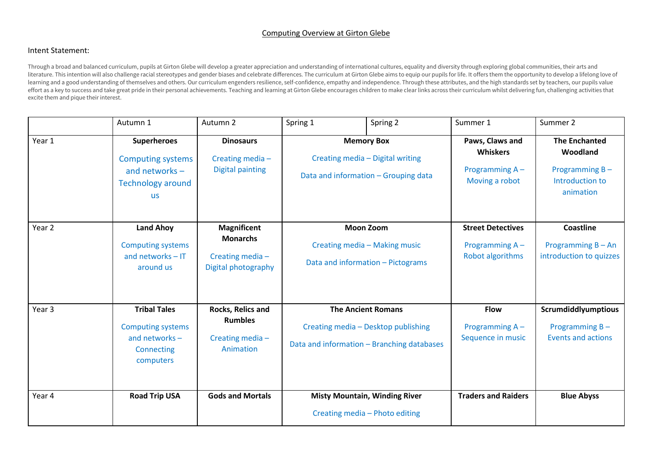## Computing Overview at Girton Glebe

## Intent Statement:

Through a broad and balanced curriculum, pupils at Girton Glebe will develop a greater appreciation and understanding of international cultures, equality and diversity through exploring global communities, their arts and literature. This intention will also challenge racial stereotypes and gender biases and celebrate differences. The curriculum at Girton Glebe aims to equip our pupils for life. It offers them the opportunity to develop a l learning and a good understanding of themselves and others. Our curriculum engenders resilience, self-confidence, empathy and independence. Through these attributes, and the high standards set by teachers, our pupils value effort as a key to success and take great pride in their personal achievements. Teaching and learning at Girton Glebe encourages children to make clear links across their curriculum whilst delivering fun, challenging activ excite them and pique their interest.

|                   | Autumn 1                                                                                                    | Autumn 2                                                                        | Spring 1                                                                                                       | Spring 2                                                               | Summer 1                                                               | Summer 2                                                                           |
|-------------------|-------------------------------------------------------------------------------------------------------------|---------------------------------------------------------------------------------|----------------------------------------------------------------------------------------------------------------|------------------------------------------------------------------------|------------------------------------------------------------------------|------------------------------------------------------------------------------------|
| Year 1            | <b>Superheroes</b><br><b>Computing systems</b><br>and networks $-$<br><b>Technology around</b><br><b>us</b> | <b>Dinosaurs</b><br>Creating media-<br><b>Digital painting</b>                  | <b>Memory Box</b><br>Creating media - Digital writing<br>Data and information - Grouping data                  |                                                                        | Paws, Claws and<br><b>Whiskers</b><br>Programming A-<br>Moving a robot | <b>The Enchanted</b><br>Woodland<br>Programming B-<br>Introduction to<br>animation |
| Year <sub>2</sub> | <b>Land Ahoy</b><br><b>Computing systems</b><br>and networks $-IT$<br>around us                             | <b>Magnificent</b><br><b>Monarchs</b><br>Creating media-<br>Digital photography | <b>Moon Zoom</b><br>Creating media - Making music<br>Data and information - Pictograms                         |                                                                        | <b>Street Detectives</b><br>Programming A-<br>Robot algorithms         | <b>Coastline</b><br>Programming B - An<br>introduction to quizzes                  |
| Year <sub>3</sub> | <b>Tribal Tales</b><br><b>Computing systems</b><br>and networks -<br>Connecting<br>computers                | Rocks, Relics and<br><b>Rumbles</b><br>Creating media-<br>Animation             | <b>The Ancient Romans</b><br>Creating media - Desktop publishing<br>Data and information - Branching databases |                                                                        | <b>Flow</b><br>Programming A-<br>Sequence in music                     | Scrumdiddlyumptious<br>Programming $B -$<br><b>Events and actions</b>              |
| Year 4            | <b>Road Trip USA</b>                                                                                        | <b>Gods and Mortals</b>                                                         |                                                                                                                | <b>Misty Mountain, Winding River</b><br>Creating media - Photo editing | <b>Traders and Raiders</b>                                             | <b>Blue Abyss</b>                                                                  |